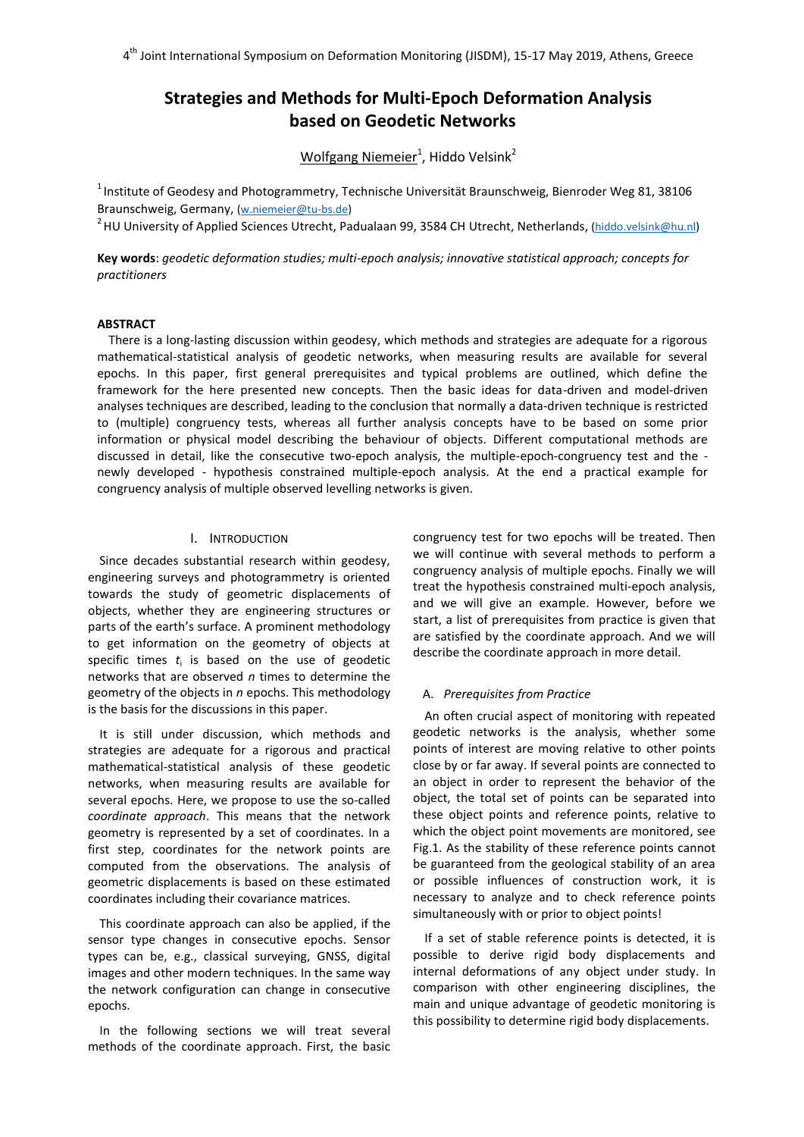# **Strategies and Methods for Multi-Epoch Deformation Analysis based on Geodetic Networks**

Wolfgang Niemeier<sup>1</sup>, Hiddo Velsink<sup>2</sup>

 $1$ Institute of Geodesy and Photogrammetry, Technische Universität Braunschweig, Bienroder Weg 81, 38106 Braunschweig, Germany, [\(w.niemeier@tu-bs.de\)](mailto:w.niemeier@tu-bs.de)

<sup>2</sup> HU University of Applied Sciences Utrecht, Padualaan 99, 3584 CH Utrecht, Netherlands, [\(hiddo.velsink@hu.nl\)](mailto:hiddo.velsink@hu.nl)

**Key words**: *geodetic deformation studies; multi-epoch analysis; innovative statistical approach; concepts for practitioners*

# **ABSTRACT**

There is a long-lasting discussion within geodesy, which methods and strategies are adequate for a rigorous mathematical-statistical analysis of geodetic networks, when measuring results are available for several epochs. In this paper, first general prerequisites and typical problems are outlined, which define the framework for the here presented new concepts. Then the basic ideas for data-driven and model-driven analyses techniques are described, leading to the conclusion that normally a data-driven technique is restricted to (multiple) congruency tests, whereas all further analysis concepts have to be based on some prior information or physical model describing the behaviour of objects. Different computational methods are discussed in detail, like the consecutive two-epoch analysis, the multiple-epoch-congruency test and the newly developed - hypothesis constrained multiple-epoch analysis. At the end a practical example for congruency analysis of multiple observed levelling networks is given.

# I. INTRODUCTION

Since decades substantial research within geodesy, engineering surveys and photogrammetry is oriented towards the study of geometric displacements of objects, whether they are engineering structures or parts of the earth's surface. A prominent methodology to get information on the geometry of objects at specific times  $t_i$  is based on the use of geodetic networks that are observed *n* times to determine the geometry of the objects in *n* epochs. This methodology is the basis for the discussions in this paper.

It is still under discussion, which methods and strategies are adequate for a rigorous and practical mathematical-statistical analysis of these geodetic networks, when measuring results are available for several epochs. Here, we propose to use the so-called *coordinate approach*. This means that the network geometry is represented by a set of coordinates. In a first step, coordinates for the network points are computed from the observations. The analysis of geometric displacements is based on these estimated coordinates including their covariance matrices.

This coordinate approach can also be applied, if the sensor type changes in consecutive epochs. Sensor types can be, e.g., classical surveying, GNSS, digital images and other modern techniques. In the same way the network configuration can change in consecutive epochs.

In the following sections we will treat several methods of the coordinate approach. First, the basic

congruency test for two epochs will be treated. Then we will continue with several methods to perform a congruency analysis of multiple epochs. Finally we will treat the hypothesis constrained multi-epoch analysis, and we will give an example. However, before we start, a list of prerequisites from practice is given that are satisfied by the coordinate approach. And we will describe the coordinate approach in more detail.

### A. *Prerequisites from Practice*

An often crucial aspect of monitoring with repeated geodetic networks is the analysis, whether some points of interest are moving relative to other points close by or far away. If several points are connected to an object in order to represent the behavior of the object, the total set of points can be separated into these object points and reference points, relative to which the object point movements are monitored, see Fig.1. As the stability of these reference points cannot be guaranteed from the geological stability of an area or possible influences of construction work, it is necessary to analyze and to check reference points simultaneously with or prior to object points!

If a set of stable reference points is detected, it is possible to derive rigid body displacements and internal deformations of any object under study. In comparison with other engineering disciplines, the main and unique advantage of geodetic monitoring is this possibility to determine rigid body displacements.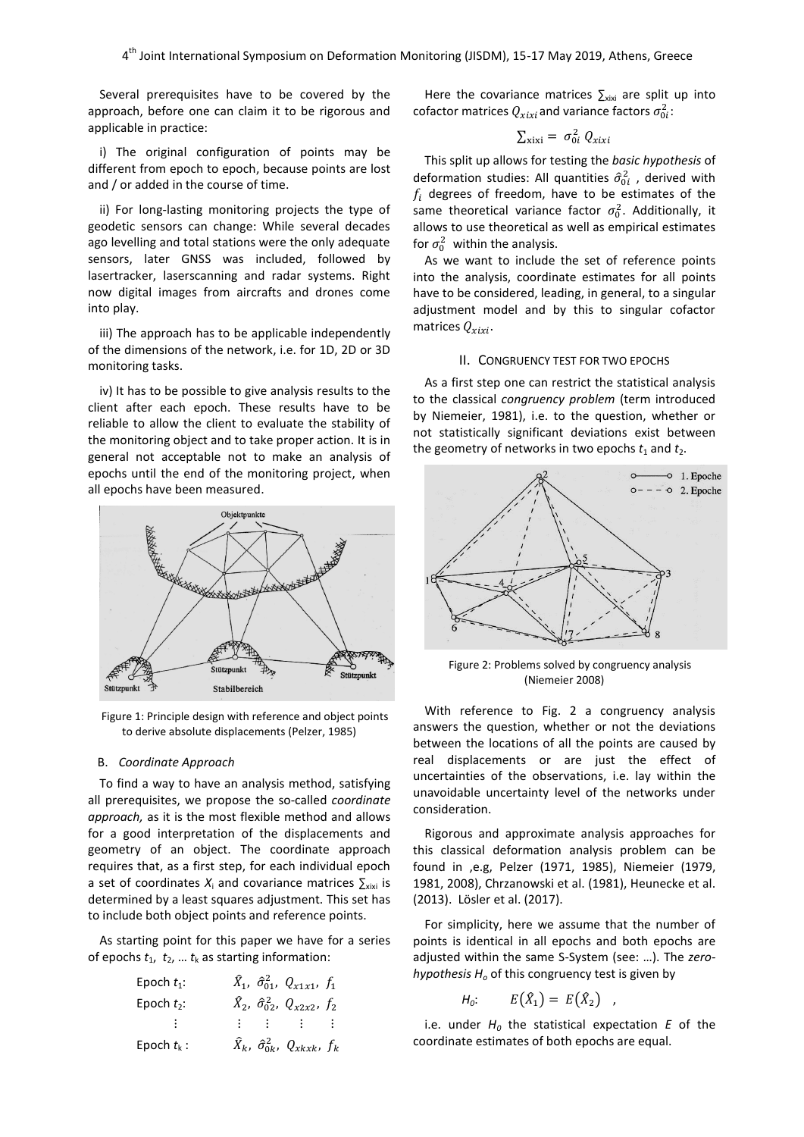Several prerequisites have to be covered by the approach, before one can claim it to be rigorous and applicable in practice:

i) The original configuration of points may be different from epoch to epoch, because points are lost and / or added in the course of time.

ii) For long-lasting monitoring projects the type of geodetic sensors can change: While several decades ago levelling and total stations were the only adequate sensors, later GNSS was included, followed by lasertracker, laserscanning and radar systems. Right now digital images from aircrafts and drones come into play.

iii) The approach has to be applicable independently of the dimensions of the network, i.e. for 1D, 2D or 3D monitoring tasks.

iv) It has to be possible to give analysis results to the client after each epoch. These results have to be reliable to allow the client to evaluate the stability of the monitoring object and to take proper action. It is in general not acceptable not to make an analysis of epochs until the end of the monitoring project, when all epochs have been measured.



Figure 1: Principle design with reference and object points to derive absolute displacements (Pelzer, 1985)

# B. *Coordinate Approach*

To find a way to have an analysis method, satisfying all prerequisites, we propose the so-called *coordinate approach,* as it is the most flexible method and allows for a good interpretation of the displacements and geometry of an object. The coordinate approach requires that, as a first step, for each individual epoch a set of coordinates  $X_i$  and covariance matrices  $\sum_{\text{xixi}}$  is determined by a least squares adjustment. This set has to include both object points and reference points.

As starting point for this paper we have for a series of epochs  $t_1$ ,  $t_2$ , ...  $t_k$  as starting information:

| Epoch $t_1$ : | $\hat{X}_1$ , $\hat{\sigma}_{01}^2$ , $Q_{x1x1}$ , $f_1$ |     |     |
|---------------|----------------------------------------------------------|-----|-----|
| Epoch $t_2$ : | $\hat{X}_2$ , $\hat{\sigma}_{02}^2$ , $Q_{x2x2}$ , $f_2$ |     |     |
| ...           | ...                                                      | ... | ... |
| Epoch $t_k$ : | $\hat{X}_k$ , $\hat{\sigma}_{0k}^2$ , $Q_{xkxk}$ , $f_k$ |     |     |

Here the covariance matrices  $\sum_{xixi}$  are split up into cofactor matrices  $Q_{xixi}$ and variance factors  $\sigma_{0i}^2$ :

$$
\sum_{\text{xixi}} = \sigma_{0i}^2 Q_{xix}
$$

This split up allows for testing the *basic hypothesis* of deformation studies: All quantities  $\hat{\sigma}_{0i}^2$ , derived with  $f_i$  degrees of freedom, have to be estimates of the same theoretical variance factor  $\sigma_0^2$ . Additionally, it allows to use theoretical as well as empirical estimates for  $\sigma_0^2$  within the analysis.

As we want to include the set of reference points into the analysis, coordinate estimates for all points have to be considered, leading, in general, to a singular adjustment model and by this to singular cofactor matrices  $Q_{xixi}$ .

# II. CONGRUENCY TEST FOR TWO EPOCHS

As a first step one can restrict the statistical analysis to the classical *congruency problem* (term introduced by Niemeier, 1981), i.e. to the question, whether or not statistically significant deviations exist between the geometry of networks in two epochs  $t_1$  and  $t_2$ .



Figure 2: Problems solved by congruency analysis (Niemeier 2008)

With reference to Fig. 2 a congruency analysis answers the question, whether or not the deviations between the locations of all the points are caused by real displacements or are just the effect of uncertainties of the observations, i.e. lay within the unavoidable uncertainty level of the networks under consideration.

Rigorous and approximate analysis approaches for this classical deformation analysis problem can be found in ,e.g, Pelzer (1971, 1985), Niemeier (1979, 1981, 2008), Chrzanowski et al. (1981), Heunecke et al. (2013). Lösler et al. (2017).

For simplicity, here we assume that the number of points is identical in all epochs and both epochs are adjusted within the same S-System (see: …). The *zerohypothesis H<sup>o</sup>* of this congruency test is given by

$$
H_0: \qquad E(\hat{X}_1) = E(\hat{X}_2) \quad ,
$$

i.e. under *H<sup>0</sup>* the statistical expectation *E* of the coordinate estimates of both epochs are equal.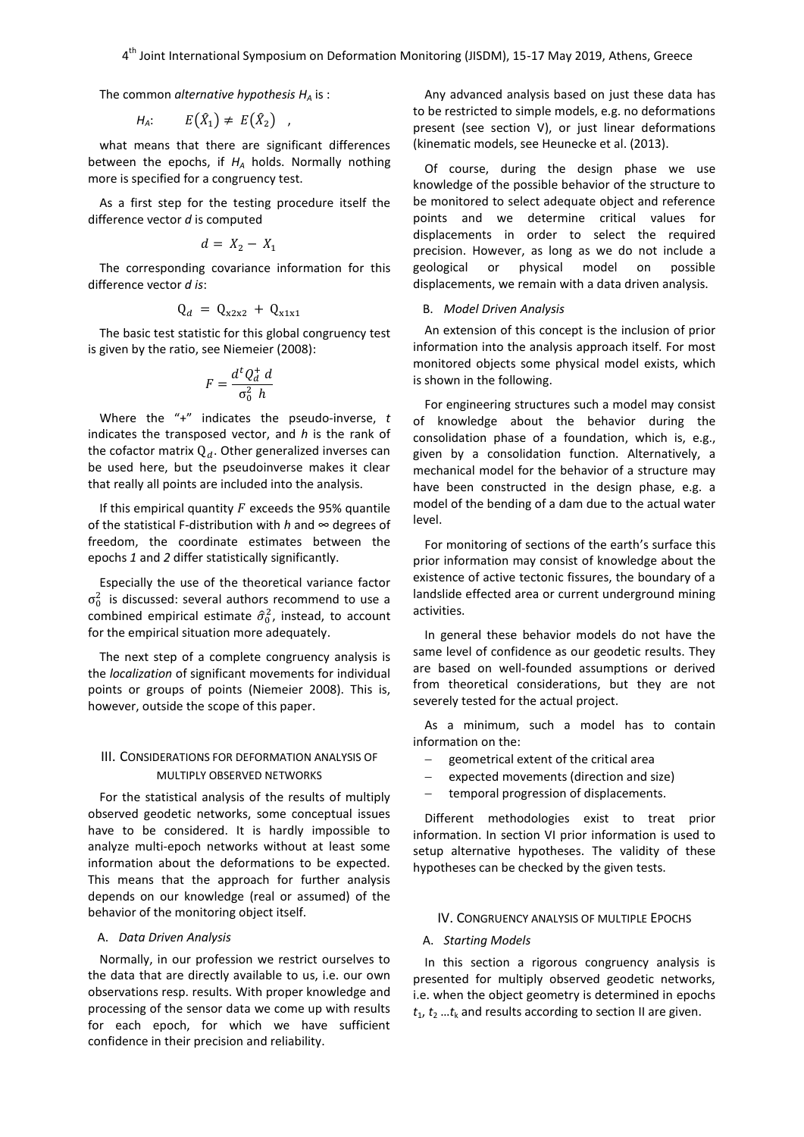The common *alternative hypothesis H<sup>A</sup>* is :

$$
H_A: E(\hat{X}_1) \neq E(\hat{X}_2) ,
$$

what means that there are significant differences between the epochs, if  $H_A$  holds. Normally nothing more is specified for a congruency test.

As a first step for the testing procedure itself the difference vector *d* is computed

$$
d = X_2 - X_1
$$

The corresponding covariance information for this difference vector *d is*:

$$
Q_d = Q_{x2x2} + Q_{x1x1}
$$

The basic test statistic for this global congruency test is given by the ratio, see Niemeier (2008):

$$
F = \frac{d^t Q_d^+ d}{\sigma_0^2 h}
$$

Where the "+" indicates the pseudo-inverse, *t* indicates the transposed vector, and *h* is the rank of the cofactor matrix  $Q_d$ . Other generalized inverses can be used here, but the pseudoinverse makes it clear that really all points are included into the analysis.

If this empirical quantity  $F$  exceeds the 95% quantile of the statistical F-distribution with *h* and ∞ degrees of freedom, the coordinate estimates between the epochs *1* and *2* differ statistically significantly.

Especially the use of the theoretical variance factor  $\sigma_0^2$  is discussed: several authors recommend to use a combined empirical estimate  $\hat{\sigma}_0^2$ , instead, to account for the empirical situation more adequately.

The next step of a complete congruency analysis is the *localization* of significant movements for individual points or groups of points (Niemeier 2008). This is, however, outside the scope of this paper.

# III. CONSIDERATIONS FOR DEFORMATION ANALYSIS OF MULTIPLY OBSERVED NETWORKS

For the statistical analysis of the results of multiply observed geodetic networks, some conceptual issues have to be considered. It is hardly impossible to analyze multi-epoch networks without at least some information about the deformations to be expected. This means that the approach for further analysis depends on our knowledge (real or assumed) of the behavior of the monitoring object itself.

# A. *Data Driven Analysis*

Normally, in our profession we restrict ourselves to the data that are directly available to us, i.e. our own observations resp. results. With proper knowledge and processing of the sensor data we come up with results for each epoch, for which we have sufficient confidence in their precision and reliability.

Any advanced analysis based on just these data has to be restricted to simple models, e.g. no deformations present (see section V), or just linear deformations (kinematic models, see Heunecke et al. (2013).

Of course, during the design phase we use knowledge of the possible behavior of the structure to be monitored to select adequate object and reference points and we determine critical values for displacements in order to select the required precision. However, as long as we do not include a geological or physical model on possible displacements, we remain with a data driven analysis.

#### B. *Model Driven Analysis*

An extension of this concept is the inclusion of prior information into the analysis approach itself. For most monitored objects some physical model exists, which is shown in the following.

For engineering structures such a model may consist of knowledge about the behavior during the consolidation phase of a foundation, which is, e.g., given by a consolidation function. Alternatively, a mechanical model for the behavior of a structure may have been constructed in the design phase, e.g. a model of the bending of a dam due to the actual water level.

For monitoring of sections of the earth's surface this prior information may consist of knowledge about the existence of active tectonic fissures, the boundary of a landslide effected area or current underground mining activities.

In general these behavior models do not have the same level of confidence as our geodetic results. They are based on well-founded assumptions or derived from theoretical considerations, but they are not severely tested for the actual project.

As a minimum, such a model has to contain information on the:

- geometrical extent of the critical area
- expected movements (direction and size)
- temporal progression of displacements.

Different methodologies exist to treat prior information. In section VI prior information is used to setup alternative hypotheses. The validity of these hypotheses can be checked by the given tests.

### IV. CONGRUENCY ANALYSIS OF MULTIPLE EPOCHS

# A. *Starting Models*

In this section a rigorous congruency analysis is presented for multiply observed geodetic networks, i.e. when the object geometry is determined in epochs  $t_1$ ,  $t_2$  ... $t_k$  and results according to section II are given.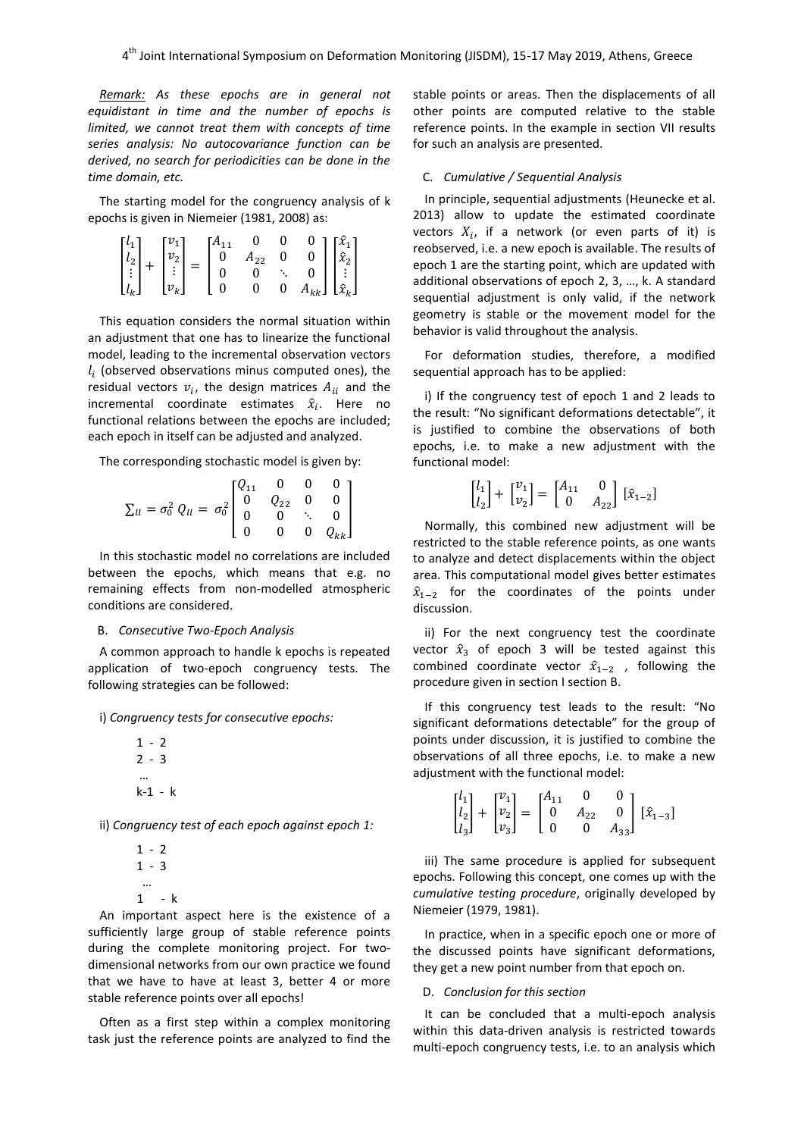*Remark: As these epochs are in general not equidistant in time and the number of epochs is limited, we cannot treat them with concepts of time series analysis: No autocovariance function can be derived, no search for periodicities can be done in the time domain, etc.*

The starting model for the congruency analysis of k epochs is given in Niemeier (1981, 2008) as:

|                                                                                                                                                                                 |  |                                             | $\mathbf{0}$ |                         |                                                                                                                                   |  |
|---------------------------------------------------------------------------------------------------------------------------------------------------------------------------------|--|---------------------------------------------|--------------|-------------------------|-----------------------------------------------------------------------------------------------------------------------------------|--|
|                                                                                                                                                                                 |  | $\begin{bmatrix} A_{11} \\ 0 \end{bmatrix}$ | $A_{22}$     | $\overline{\mathbf{0}}$ |                                                                                                                                   |  |
|                                                                                                                                                                                 |  |                                             |              |                         |                                                                                                                                   |  |
| $\begin{bmatrix} l_1 \\ l_2 \\ \vdots \\ l_k \end{bmatrix} + \begin{bmatrix} v_1 \\ v_2 \\ \vdots \\ v_k \end{bmatrix} = \begin{bmatrix} A_1 \\ 0 \\ 0 \\ 0 \\ 0 \end{bmatrix}$ |  |                                             |              |                         | $\begin{bmatrix} 0 \\ 0 \\ 0 \\ A_{kk} \end{bmatrix} \begin{bmatrix} \hat{x}_1 \\ \hat{x}_2 \\ \vdots \\ \hat{x}_k \end{bmatrix}$ |  |

This equation considers the normal situation within an adjustment that one has to linearize the functional model, leading to the incremental observation vectors  $l_i$  (observed observations minus computed ones), the residual vectors  $v_i$ , the design matrices  $A_{ii}$  and the incremental coordinate estimates  $\hat{x}_i$ . Here no functional relations between the epochs are included; each epoch in itself can be adjusted and analyzed.

The corresponding stochastic model is given by:

$$
\Sigma_{ll} = \sigma_0^2 Q_{ll} = \sigma_0^2 \begin{bmatrix} Q_{11} & 0 & 0 & 0 \\ 0 & Q_{22} & 0 & 0 \\ 0 & 0 & \ddots & 0 \\ 0 & 0 & 0 & Q_{kk} \end{bmatrix}
$$

In this stochastic model no correlations are included between the epochs, which means that e.g. no remaining effects from non-modelled atmospheric conditions are considered.

### B. *Consecutive Two-Epoch Analysis*

A common approach to handle k epochs is repeated application of two-epoch congruency tests. The following strategies can be followed:

i) *Congruency tests for consecutive epochs:*

$$
\begin{array}{c} 1 - 2 \\ 2 - 3 \\ ... \\ k - 1 - k \end{array}
$$

ii) *Congruency test of each epoch against epoch 1:*

$$
\begin{array}{c}\n1-2 \\
1-3 \\
\end{array}
$$
\n
$$
\begin{array}{c}\n\ldots \\
1-k\n\end{array}
$$

An important aspect here is the existence of a sufficiently large group of stable reference points during the complete monitoring project. For twodimensional networks from our own practice we found that we have to have at least 3, better 4 or more stable reference points over all epochs!

Often as a first step within a complex monitoring task just the reference points are analyzed to find the stable points or areas. Then the displacements of all other points are computed relative to the stable reference points. In the example in section VII results for such an analysis are presented.

#### C. *Cumulative / Sequential Analysis*

In principle, sequential adjustments (Heunecke et al. 2013) allow to update the estimated coordinate vectors  $X_i$ , if a network (or even parts of it) is reobserved, i.e. a new epoch is available. The results of epoch 1 are the starting point, which are updated with additional observations of epoch 2, 3, …, k. A standard sequential adjustment is only valid, if the network geometry is stable or the movement model for the behavior is valid throughout the analysis.

For deformation studies, therefore, a modified sequential approach has to be applied:

i) If the congruency test of epoch 1 and 2 leads to the result: "No significant deformations detectable", it is justified to combine the observations of both epochs, i.e. to make a new adjustment with the functional model:

$$
\begin{bmatrix} l_1 \\ l_2 \end{bmatrix} + \begin{bmatrix} v_1 \\ v_2 \end{bmatrix} = \begin{bmatrix} A_{11} & 0 \\ 0 & A_{22} \end{bmatrix} [\hat{x}_{1-2}]
$$

Normally, this combined new adjustment will be restricted to the stable reference points, as one wants to analyze and detect displacements within the object area. This computational model gives better estimates  $\hat{x}_{1-2}$  for the coordinates of the points under discussion.

ii) For the next congruency test the coordinate vector  $\hat{x}_3$  of epoch 3 will be tested against this combined coordinate vector  $\hat{x}_{1-2}$ , following the procedure given in section I section B.

If this congruency test leads to the result: "No significant deformations detectable" for the group of points under discussion, it is justified to combine the observations of all three epochs, i.e. to make a new adjustment with the functional model:

$$
\begin{bmatrix} l_1 \\ l_2 \\ l_3 \end{bmatrix} + \begin{bmatrix} v_1 \\ v_2 \\ v_3 \end{bmatrix} = \begin{bmatrix} A_{11} & 0 & 0 \\ 0 & A_{22} & 0 \\ 0 & 0 & A_{33} \end{bmatrix} \begin{bmatrix} \hat{x}_{1-3} \end{bmatrix}
$$

iii) The same procedure is applied for subsequent epochs. Following this concept, one comes up with the *cumulative testing procedure*, originally developed by Niemeier (1979, 1981).

In practice, when in a specific epoch one or more of the discussed points have significant deformations, they get a new point number from that epoch on.

#### D. *Conclusion for this section*

It can be concluded that a multi-epoch analysis within this data-driven analysis is restricted towards multi-epoch congruency tests, i.e. to an analysis which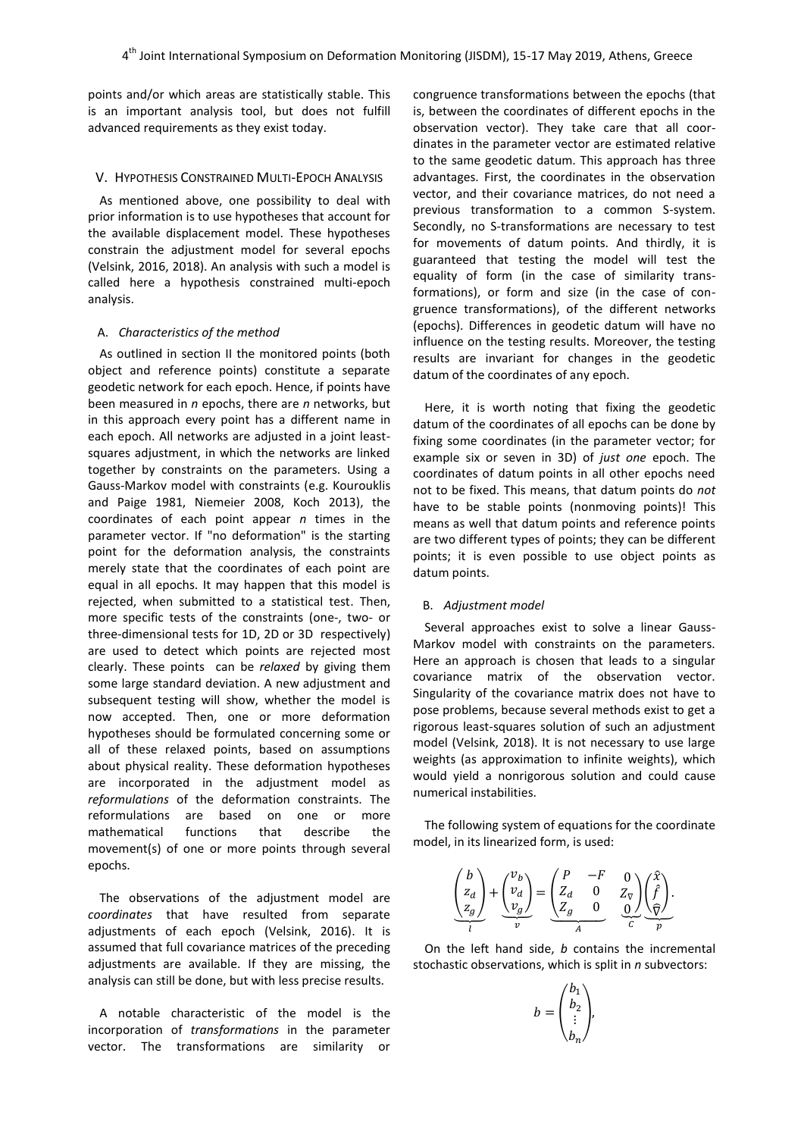points and/or which areas are statistically stable. This is an important analysis tool, but does not fulfill advanced requirements as they exist today.

#### V. HYPOTHESIS CONSTRAINED MULTI-EPOCH ANALYSIS

As mentioned above, one possibility to deal with prior information is to use hypotheses that account for the available displacement model. These hypotheses constrain the adjustment model for several epochs (Velsink, 2016, 2018). An analysis with such a model is called here a hypothesis constrained multi-epoch analysis.

### A. *Characteristics of the method*

As outlined in section II the monitored points (both object and reference points) constitute a separate geodetic network for each epoch. Hence, if points have been measured in *n* epochs, there are *n* networks, but in this approach every point has a different name in each epoch. All networks are adjusted in a joint leastsquares adjustment, in which the networks are linked together by constraints on the parameters. Using a Gauss-Markov model with constraints (e.g. Kourouklis and Paige 1981, Niemeier 2008, Koch 2013), the coordinates of each point appear *n* times in the parameter vector. If "no deformation" is the starting point for the deformation analysis, the constraints merely state that the coordinates of each point are equal in all epochs. It may happen that this model is rejected, when submitted to a statistical test. Then, more specific tests of the constraints (one-, two- or three-dimensional tests for 1D, 2D or 3D respectively) are used to detect which points are rejected most clearly. These points can be *relaxed* by giving them some large standard deviation. A new adjustment and subsequent testing will show, whether the model is now accepted. Then, one or more deformation hypotheses should be formulated concerning some or all of these relaxed points, based on assumptions about physical reality. These deformation hypotheses are incorporated in the adjustment model as *reformulations* of the deformation constraints. The reformulations are based on one or more mathematical functions that describe the movement(s) of one or more points through several epochs.

The observations of the adjustment model are *coordinates* that have resulted from separate adjustments of each epoch (Velsink, 2016). It is assumed that full covariance matrices of the preceding adjustments are available. If they are missing, the analysis can still be done, but with less precise results.

A notable characteristic of the model is the incorporation of *transformations* in the parameter vector. The transformations are similarity or

congruence transformations between the epochs (that is, between the coordinates of different epochs in the observation vector). They take care that all coordinates in the parameter vector are estimated relative to the same geodetic datum. This approach has three advantages. First, the coordinates in the observation vector, and their covariance matrices, do not need a previous transformation to a common S-system. Secondly, no S-transformations are necessary to test for movements of datum points. And thirdly, it is guaranteed that testing the model will test the equality of form (in the case of similarity transformations), or form and size (in the case of congruence transformations), of the different networks (epochs). Differences in geodetic datum will have no influence on the testing results. Moreover, the testing results are invariant for changes in the geodetic datum of the coordinates of any epoch.

Here, it is worth noting that fixing the geodetic datum of the coordinates of all epochs can be done by fixing some coordinates (in the parameter vector; for example six or seven in 3D) of *just one* epoch. The coordinates of datum points in all other epochs need not to be fixed. This means, that datum points do *not* have to be stable points (nonmoving points)! This means as well that datum points and reference points are two different types of points; they can be different points; it is even possible to use object points as datum points.

### B. *Adjustment model*

Several approaches exist to solve a linear Gauss-Markov model with constraints on the parameters. Here an approach is chosen that leads to a singular covariance matrix of the observation vector. Singularity of the covariance matrix does not have to pose problems, because several methods exist to get a rigorous least-squares solution of such an adjustment model (Velsink, 2018). It is not necessary to use large weights (as approximation to infinite weights), which would yield a nonrigorous solution and could cause numerical instabilities.

The following system of equations for the coordinate model, in its linearized form, is used:

$$
\underbrace{\begin{pmatrix} b \\ z_d \\ z_g \end{pmatrix}}_{l} + \underbrace{\begin{pmatrix} v_b \\ v_d \\ v_g \end{pmatrix}}_{v} = \underbrace{\begin{pmatrix} P & -F & 0 \\ Z_d & 0 & Z_{\nabla} \\ Z_g & 0 & \underbrace{0}{\nabla} \end{pmatrix}}_{A} \underbrace{\begin{pmatrix} \hat{x} \\ \hat{f} \\ \hat{y} \end{pmatrix}}_{C}.
$$

On the left hand side, *b* contains the incremental stochastic observations, which is split in *n* subvectors:

 $\mathbf{a}$ 

$$
b = \begin{pmatrix} b_1 \\ b_2 \\ \vdots \\ b_n \end{pmatrix},
$$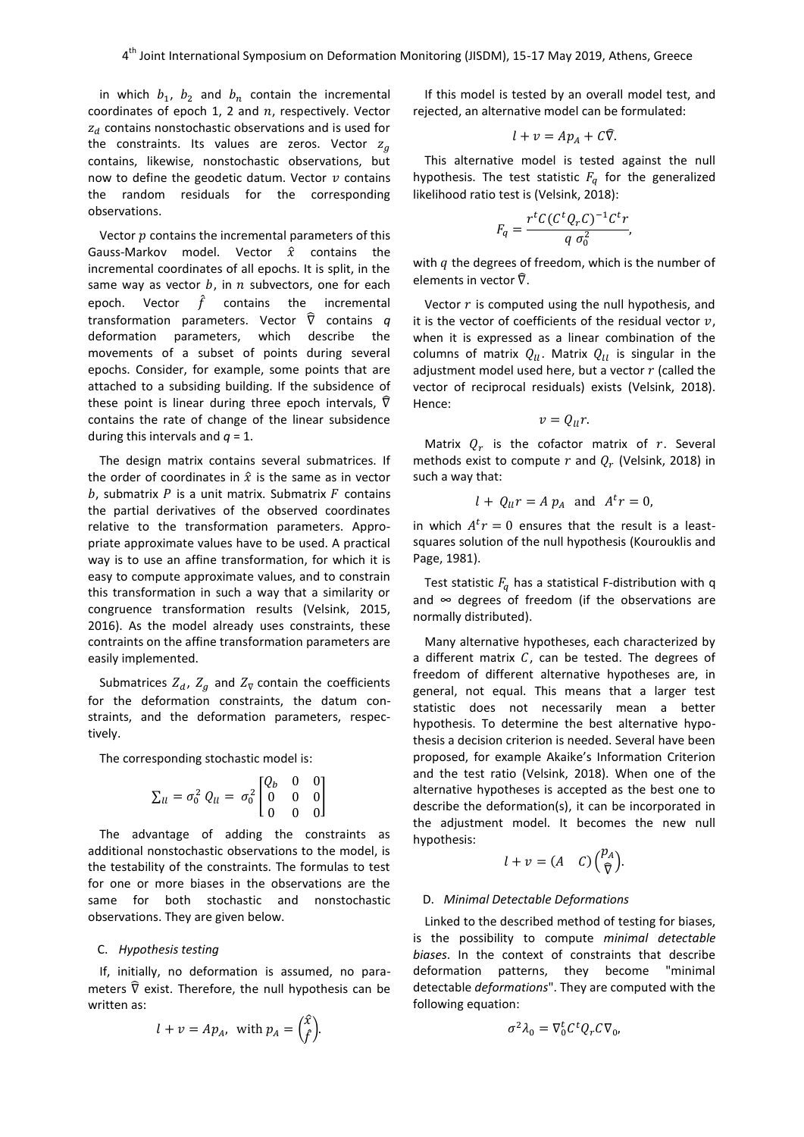in which  $b_1$ ,  $b_2$  and  $b_n$  contain the incremental coordinates of epoch 1, 2 and  $n$ , respectively. Vector  $z_d$  contains nonstochastic observations and is used for the constraints. Its values are zeros. Vector  $z_a$ contains, likewise, nonstochastic observations, but now to define the geodetic datum. Vector  $v$  contains the random residuals for the corresponding observations.

Vector  $p$  contains the incremental parameters of this Gauss-Markov model. Vector  $\hat{x}$  contains the incremental coordinates of all epochs. It is split, in the same way as vector  $b$ , in  $n$  subvectors, one for each epoch. Vector  $\hat{f}$  contains the incremental transformation parameters. Vector  $\widehat{\nabla}$  contains  $q$ deformation parameters, which describe the movements of a subset of points during several epochs. Consider, for example, some points that are attached to a subsiding building. If the subsidence of these point is linear during three epoch intervals,  $\hat{\nabla}$ contains the rate of change of the linear subsidence during this intervals and  $q = 1$ .

The design matrix contains several submatrices. If the order of coordinates in  $\hat{x}$  is the same as in vector  $b$ , submatrix  $P$  is a unit matrix. Submatrix  $F$  contains the partial derivatives of the observed coordinates relative to the transformation parameters. Appropriate approximate values have to be used. A practical way is to use an affine transformation, for which it is easy to compute approximate values, and to constrain this transformation in such a way that a similarity or congruence transformation results (Velsink, 2015, 2016). As the model already uses constraints, these contraints on the affine transformation parameters are easily implemented.

Submatrices  $Z_d$ ,  $Z_g$  and  $Z_{\nabla}$  contain the coefficients for the deformation constraints, the datum constraints, and the deformation parameters, respectively.

The corresponding stochastic model is:

$$
\Sigma_{ll} = \sigma_0^2 Q_{ll} = \sigma_0^2 \begin{bmatrix} Q_b & 0 & 0 \\ 0 & 0 & 0 \\ 0 & 0 & 0 \end{bmatrix}
$$

The advantage of adding the constraints as additional nonstochastic observations to the model, is the testability of the constraints. The formulas to test for one or more biases in the observations are the same for both stochastic and nonstochastic observations. They are given below.

#### C. *Hypothesis testing*

If, initially, no deformation is assumed, no parameters  $\hat{\nabla}$  exist. Therefore, the null hypothesis can be written as:

$$
l + v = Ap_A
$$
, with  $p_A = \begin{pmatrix} \hat{x} \\ \hat{f} \end{pmatrix}$ .

If this model is tested by an overall model test, and rejected, an alternative model can be formulated:

$$
l + v = Ap_A + C\widehat{\nabla}.
$$

This alternative model is tested against the null hypothesis. The test statistic  $F_q$  for the generalized likelihood ratio test is (Velsink, 2018):

$$
F_q = \frac{r^t C (C^t Q_r C)^{-1} C^t r}{q \sigma_0^2},
$$

with  $q$  the degrees of freedom, which is the number of elements in vector  $\hat{\nabla}$ .

Vector  $r$  is computed using the null hypothesis, and it is the vector of coefficients of the residual vector  $v$ , when it is expressed as a linear combination of the columns of matrix  $Q_{ll}$ . Matrix  $Q_{ll}$  is singular in the adjustment model used here, but a vector  $r$  (called the vector of reciprocal residuals) exists (Velsink, 2018). Hence:

$$
v = Q_{ll}r
$$

Matrix  $Q_r$  is the cofactor matrix of r. Several methods exist to compute r and  $Q_r$  (Velsink, 2018) in such a way that:

$$
l + Q_{ll}r = A p_A
$$
 and  $A^t r = 0$ 

in which  $A<sup>t</sup>r = 0$  ensures that the result is a leastsquares solution of the null hypothesis (Kourouklis and Page, 1981).

Test statistic  $F_q$  has a statistical F-distribution with q and  $\infty$  degrees of freedom (if the observations are normally distributed).

Many alternative hypotheses, each characterized by a different matrix  $C$ , can be tested. The degrees of freedom of different alternative hypotheses are, in general, not equal. This means that a larger test statistic does not necessarily mean a better hypothesis. To determine the best alternative hypothesis a decision criterion is needed. Several have been proposed, for example Akaike's Information Criterion and the test ratio (Velsink, 2018). When one of the alternative hypotheses is accepted as the best one to describe the deformation(s), it can be incorporated in the adjustment model. It becomes the new null hypothesis:

$$
l + v = (A \quad C) {p_A \choose \widehat{\nabla}}.
$$

#### D. *Minimal Detectable Deformations*

Linked to the described method of testing for biases, is the possibility to compute *minimal detectable biases*. In the context of constraints that describe deformation patterns, they become "minimal detectable *deformations*". They are computed with the following equation:

$$
\sigma^2 \lambda_0 = \nabla_0^t C^t Q_r C \nabla_0,
$$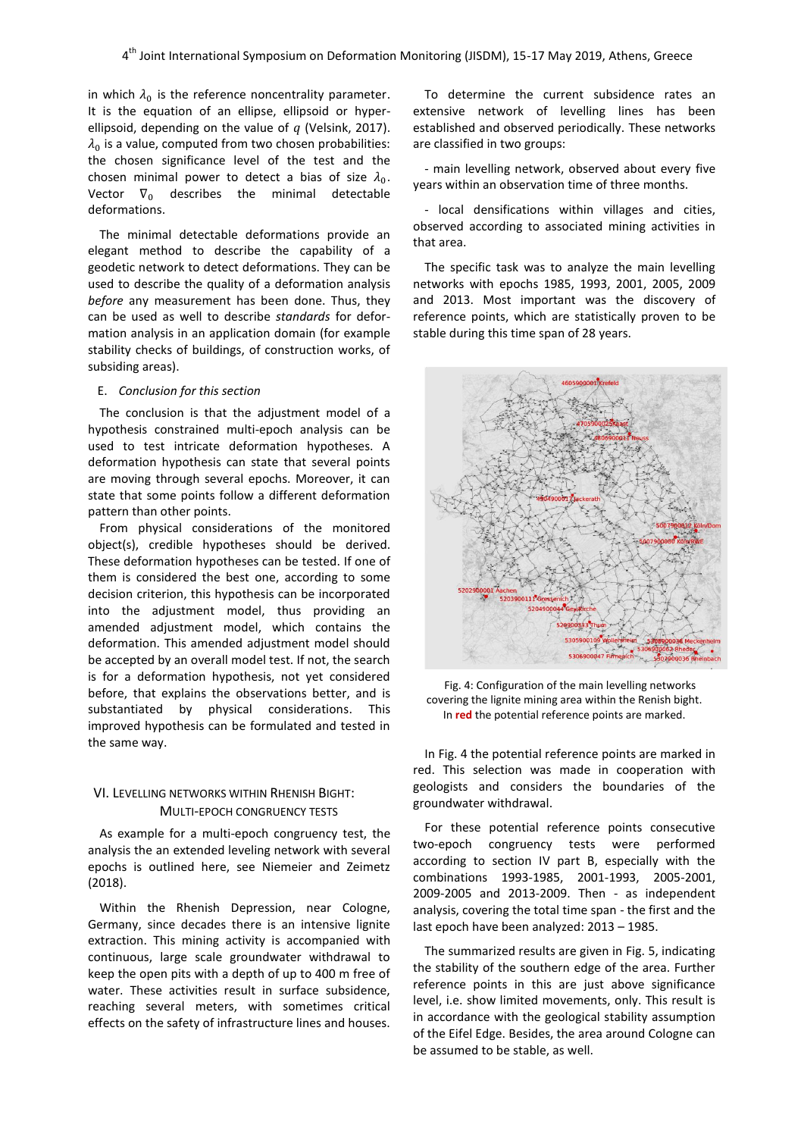in which  $\lambda_0$  is the reference noncentrality parameter. It is the equation of an ellipse, ellipsoid or hyperellipsoid, depending on the value of  $q$  (Velsink, 2017).  $\lambda_\mathrm{0}$  is a value, computed from two chosen probabilities: the chosen significance level of the test and the chosen minimal power to detect a bias of size  $\lambda_0$ . Vector  $\nabla_0$  describes the minimal detectable deformations.

The minimal detectable deformations provide an elegant method to describe the capability of a geodetic network to detect deformations. They can be used to describe the quality of a deformation analysis *before* any measurement has been done. Thus, they can be used as well to describe *standards* for deformation analysis in an application domain (for example stability checks of buildings, of construction works, of subsiding areas).

# E. *Conclusion for this section*

The conclusion is that the adjustment model of a hypothesis constrained multi-epoch analysis can be used to test intricate deformation hypotheses. A deformation hypothesis can state that several points are moving through several epochs. Moreover, it can state that some points follow a different deformation pattern than other points.

From physical considerations of the monitored object(s), credible hypotheses should be derived. These deformation hypotheses can be tested. If one of them is considered the best one, according to some decision criterion, this hypothesis can be incorporated into the adjustment model, thus providing an amended adjustment model, which contains the deformation. This amended adjustment model should be accepted by an overall model test. If not, the search is for a deformation hypothesis, not yet considered before, that explains the observations better, and is substantiated by physical considerations. This improved hypothesis can be formulated and tested in the same way.

# VI. LEVELLING NETWORKS WITHIN RHENISH BIGHT: MULTI-EPOCH CONGRUENCY TESTS

As example for a multi-epoch congruency test, the analysis the an extended leveling network with several epochs is outlined here, see Niemeier and Zeimetz (2018).

Within the Rhenish Depression, near Cologne, Germany, since decades there is an intensive lignite extraction. This mining activity is accompanied with continuous, large scale groundwater withdrawal to keep the open pits with a depth of up to 400 m free of water. These activities result in surface subsidence, reaching several meters, with sometimes critical effects on the safety of infrastructure lines and houses.

To determine the current subsidence rates an extensive network of levelling lines has been established and observed periodically. These networks are classified in two groups:

- main levelling network, observed about every five years within an observation time of three months.

- local densifications within villages and cities, observed according to associated mining activities in that area.

The specific task was to analyze the main levelling networks with epochs 1985, 1993, 2001, 2005, 2009 and 2013. Most important was the discovery of reference points, which are statistically proven to be stable during this time span of 28 years.



Fig. 4: Configuration of the main levelling networks covering the lignite mining area within the Renish bight. In **red** the potential reference points are marked.

In Fig. 4 the potential reference points are marked in red. This selection was made in cooperation with geologists and considers the boundaries of the groundwater withdrawal.

For these potential reference points consecutive two-epoch congruency tests were performed according to section IV part B, especially with the combinations 1993-1985, 2001-1993, 2005-2001, 2009-2005 and 2013-2009. Then - as independent analysis, covering the total time span - the first and the last epoch have been analyzed: 2013 – 1985.

The summarized results are given in Fig. 5, indicating the stability of the southern edge of the area. Further reference points in this are just above significance level, i.e. show limited movements, only. This result is in accordance with the geological stability assumption of the Eifel Edge. Besides, the area around Cologne can be assumed to be stable, as well.